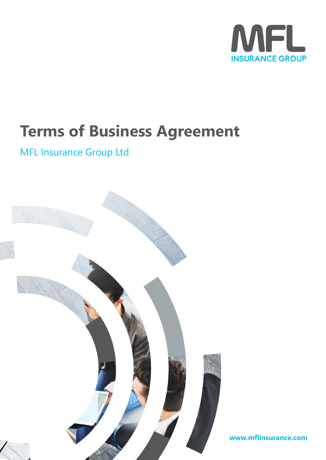

# **Terms of Business Agreement**

# MFL Insurance Group Ltd



**www.mflinsurance.com**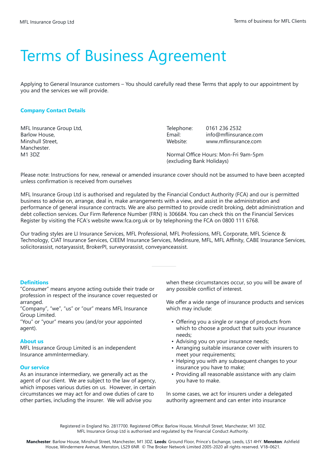# Terms of Business Agreement

Applying to General Insurance customers – You should carefully read these Terms that apply to our appointment by you and the services we will provide.

# **Company Contact Details**

MFL Insurance Group Ltd, Barlow House, Minshull Street, Manchester. M1 3DZ

Telephone: 0161 236 2532 Email: info@mflinsurance.com<br>Website: www.mflinsurance.com Website: www.mflinsurance.com

Normal Office Hours: Mon-Fri 9am-5pm (excluding Bank Holidays)

Please note: Instructions for new, renewal or amended insurance cover should not be assumed to have been accepted unless confirmation is received from ourselves

MFL Insurance Group Ltd is authorised and regulated by the Financial Conduct Authority (FCA) and our is permitted business to advise on, arrange, deal in, make arrangements with a view, and assist in the administration and performance of general insurance contracts. We are also permitted to provide credit broking, debt administration and debt collection services. Our Firm Reference Number (FRN) is 306684. You can check this on the Financial Services Register by visiting the FCA's website www.fca.org.uk or by telephoning the FCA on 0800 111 6768.

Our trading styles are LI Insurance Services, MFL Professional, MFL Professions, MFL Corporate, MFL Science & Technology, CIAT Insurance Services, CIEEM Insurance Services, Medinsure, MFL, MFL Affinity, CABE Insurance Services, solicitorassist, notaryassist, BrokerPI, surveyorassist, conveyanceassist.

# **Definitions**

"Consumer" means anyone acting outside their trade or profession in respect of the insurance cover requested or arranged.

"Company", "we", "us" or "our" means MFL Insurance Group Limited.

"You" or "your" means you (and/or your appointed agent).

#### **About us**

MFL Insurance Group Limited is an independent Insurance ammIntermediary.

# **Our service**

As an insurance intermediary, we generally act as the agent of our client. We are subject to the law of agency, which imposes various duties on us. However, in certain circumstances we may act for and owe duties of care to other parties, including the insurer. We will advise you

when these circumstances occur, so you will be aware of any possible conflict of interest.

We offer a wide range of insurance products and services which may include:

- Offering you a single or range of products from which to choose a product that suits your insurance needs;
- Advising you on your insurance needs;
- Arranging suitable insurance cover with insurers to meet your requirements;
- Helping you with any subsequent changes to your insurance you have to make;
- Providing all reasonable assistance with any claim you have to make.

In some cases, we act for insurers under a delegated authority agreement and can enter into insurance

Registered in England No. 2817700. Registered Office: Barlow House, Minshull Street, Manchester, M1 3DZ. MFL Insurance Group Ltd is authorised and regulated by the Financial Conduct Authority.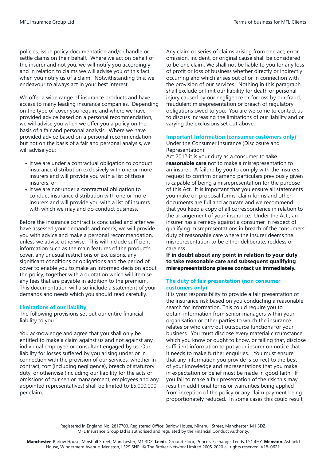Terms of business for MFL Clients

policies, issue policy documentation and/or handle or settle claims on their behalf. Where we act on behalf of the insurer and not you, we will notify you accordingly and in relation to claims we will advise you of this fact when you notify us of a claim. Notwithstanding this, we endeavour to always act in your best interest.

We offer a wide range of insurance products and have access to many leading insurance companies. Depending on the type of cover you require and where we have provided advice based on a personal recommendation, we will advise you when we offer you a policy on the basis of a fair and personal analysis. Where we have provided advice based on a personal recommendation but not on the basis of a fair and personal analysis, we will advise you:

- If we are under a contractual obligation to conduct insurance distribution exclusively with one or more insurers and will provide you with a list of those insurers; or
- If we are not under a contractual obligation to conduct insurance distribution with one or more insurers and will provide you with a list of insurers with which we may and do conduct business.

Before the insurance contract is concluded and after we have assessed your demands and needs, we will provide you with advice and make a personal recommendation, unless we advise otherwise. This will include sufficient information such as the main features of the product's cover, any unusual restrictions or exclusions, any significant conditions or obligations and the period of cover to enable you to make an informed decision about the policy, together with a quotation which will itemise any fees that are payable in addition to the premium. This documentation will also include a statement of your demands and needs which you should read carefully.

#### **Limitations of our liability**

The following provisions set out our entire financial liability to you.

You acknowledge and agree that you shall only be entitled to make a claim against us and not against any individual employee or consultant engaged by us. Our liability for losses suffered by you arising under or in connection with the provision of our services, whether in contract, tort (including negligence), breach of statutory duty, or otherwise (including our liability for the acts or omissions of our senior management, employees and any appointed representatives) shall be limited to £5,000,000 per claim.

Any claim or series of claims arising from one act, error, omission, incident, or original cause shall be considered to be one claim. We shall not be liable to you for any loss of profit or loss of business whether directly or indirectly occurring and which arises out of or in connection with the provision of our services. Nothing in this paragraph shall exclude or limit our liability for death or personal injury caused by our negligence or for loss by our fraud, fraudulent misrepresentation or breach of regulatory obligations owed to you. You are welcome to contact us to discuss increasing the limitations of our liability and or varying the exclusions set out above.

#### **Important Information (consumer customers only)**

Under the Consumer Insurance (Disclosure and Representation)

Act 2012 it is your duty as a consumer to **take reasonable care** not to make a misrepresentation to an insurer. A failure by you to comply with the insurers request to confirm or amend particulars previously given is capable of being a misrepresentation for the purpose of this Act. It is important that you ensure all statements you make on proposal forms, claim forms and other documents are full and accurate and we recommend that you keep a copy of all correspondence in relation to the arrangement of your insurance. Under the Act , an insurer has a remedy against a consumer in respect of qualifying misrepresentations in breach of the consumers' duty of reasonable care where the insurer deems the misrepresentation to be either deliberate, reckless or careless.

**If in doubt about any point in relation to your duty to take reasonable care and subsequent qualifying misrepresentations please contact us immediately.**

#### **The duty of fair presentation (non consumer customers only)**

It is your responsibility to provide a fair presentation of the insurance risk based on you conducting a reasonable search for information. This could require you to obtain information from senior managers within your organisation or other parties to which the insurance relates or who carry out outsource functions for your business. You must disclose every material circumstance which you know or ought to know, or failing that, disclose sufficient information to put your insurer on notice that it needs to make further enquiries. You must ensure that any information you provide is correct to the best of your knowledge and representations that you make in expectation or belief must be made in good faith. If you fail to make a fair presentation of the risk this may result in additional terms or warranties being applied from inception of the policy or any claim payment being proportionately reduced. In some cases this could result

Registered in England No. 2817700. Registered Office: Barlow House, Minshull Street, Manchester, M1 3DZ. MFL Insurance Group Ltd is authorised and regulated by the Financial Conduct Authority.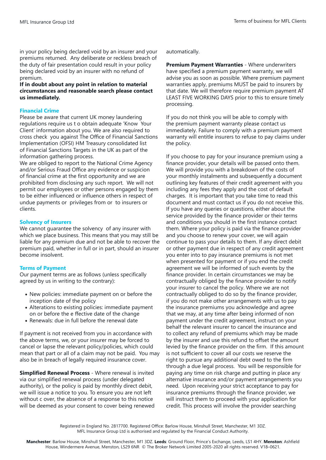in your policy being declared void by an insurer and your premiums returned. Any deliberate or reckless breach of the duty of fair presentation could result in your policy being declared void by an insurer with no refund of premium.

**If in doubt about any point in relation to material circumstances and reasonable search please contact us immediately.**

#### **Financial Crime**

Please be aware that current UK money laundering regulations require us t o obtain adequate 'Know Your Client' information about you. We are also required to cross check you against The Office of Financial Sanctions Implementation (OFSI) HM Treasury consolidated list of Financial Sanctions Targets in the UK as part of the information gathering process.

We are obliged to report to the National Crime Agency and/or Serious Fraud Office any evidence or suspicion of financial crime at the first opportunity and we are prohibited from disclosing any such report. We will not permit our employees or other persons engaged by them to be either influenced or influence others in respect of undue payments or privileges from or to insurers or clients.

#### **Solvency of Insurers**

We cannot guarantee the solvency of any insurer with which we place business. This means that you may still be liable for any premium due and not be able to recover the premium paid, whether in full or in part, should an insurer become insolvent.

#### **Terms of Payment**

Our payment terms are as follows (unless specifically agreed by us in writing to the contrary):

- New policies: immediate payment on or before the inception date of the policy
- Alterations to existing policies: immediate payment on or before the e ffective date of the change
- Renewals: due in full before the renewal date

If payment is not received from you in accordance with the above terms, we, or your insurer may be forced to cancel or lapse the relevant policy/policies, which could mean that part or all of a claim may not be paid. You may also be in breach of legally required insurance cover.

**Simplified Renewal Process** - Where renewal is invited via our simplified renewal process (under delegated authority), or the policy is paid by monthly direct debit, we will issue a notice to you. To ensure you are not left without c over, the absence of a response to this notice will be deemed as your consent to cover being renewed automatically.

**Premium Payment Warranties** - Where underwriters have specified a premium payment warranty, we will advise you as soon as possible. Where premium payment warranties apply, premiums MUST be paid to insurers by that date. We will therefore require premium payment AT LEAST FIVE WORKING DAYS prior to this to ensure timely processing.

If you do not think you will be able to comply with the premium payment warranty please contact us immediately. Failure to comply with a premium payment warranty will entitle insurers to refuse to pay claims under the policy.

If you choose to pay for your insurance premium using a finance provider, your details will be passed onto them. We will provide you with a breakdown of the costs of your monthly instalments and subsequently a document outlining key features of their credit agreement with you including any fees they apply and the cost of default charges. It is important that you take time to read this document and must contact us if you do not receive this. If you have any queries or questions, either about the service provided by the finance provider or their terms and conditions you should in the first instance contact them. Where your policy is paid via the finance provider and you choose to renew your cover, we will again continue to pass your details to them. If any direct debit or other payment due in respect of any credit agreement you enter into to pay insurance premiums is not met when presented for payment or if you end the credit agreement we will be informed of such events by the finance provider. In certain circumstances we may be contractually obliged by the finance provider to notify your insurer to cancel the policy. Where we are not contractually obliged to do so by the finance provider, if you do not make other arrangements with us to pay the insurance premiums you acknowledge and agree that we may, at any time after being informed of non payment under the credit agreement, instruct on your behalf the relevant insurer to cancel the insurance and to collect any refund of premiums which may be made by the insurer and use this refund to offset the amount levied by the finance provider on the firm. If this amount is not sufficient to cover all our costs we reserve the right to pursue any additional debt owed to the firm through a due legal process. You will be responsible for paying any time on risk charge and putting in place any alternative insurance and/or payment arrangements you need. Upon receiving your strict acceptance to pay for insurance premiums through the finance provider, we will instruct them to proceed with your application for credit. This process will involve the provider searching

Registered in England No. 2817700. Registered Office: Barlow House, Minshull Street, Manchester, M1 3DZ. MFL Insurance Group Ltd is authorised and regulated by the Financial Conduct Authority.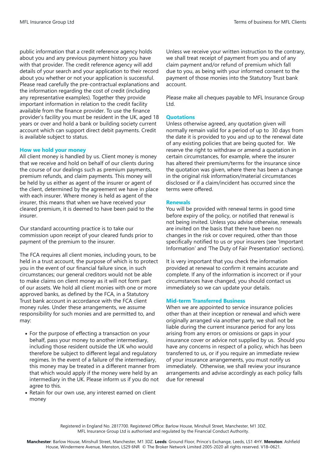public information that a credit reference agency holds about you and any previous payment history you have with that provider. The credit reference agency will add details of your search and your application to their record about you whether or not your application is successful. Please read carefully the pre-contractual explanations and the information regarding the cost of credit (including any representative examples). Together they provide important information in relation to the credit facility available from the finance provider. To use the finance provider's facility you must be resident in the UK, aged 18 years or over and hold a bank or building society current account which can support direct debit payments. Credit is available subject to status.

#### **How we hold your money**

All client money is handled by us. Client money is money that we receive and hold on behalf of our clients during the course of our dealings such as premium payments, premium refunds, and claim payments. This money will be held by us either as agent of the insurer or agent of the client, determined by the agreement we have in place with each insurer. Where money is held as agent of the insurer, this means that when we have received your cleared premium, it is deemed to have been paid to the insurer.

Our standard accounting practice is to take our commission upon receipt of your cleared funds prior to payment of the premium to the insurer.

The FCA requires all client monies, including yours, to be held in a trust account, the purpose of which is to protect you in the event of our financial failure since, in such circumstances; our general creditors would not be able to make claims on client money as it will not form part of our assets. We hold all client monies with one or more approved banks, as defined by the FCA, in a Statutory Trust bank account in accordance with the FCA client money rules. Under these arrangements, we assume responsibility for such monies and are permitted to, and may:

- For the purpose of effecting a transaction on your behalf, pass your money to another intermediary, including those resident outside the UK who would therefore be subject to different legal and regulatory regimes. In the event of a failure of the intermediary, this money may be treated in a different manner from that which would apply if the money were held by an intermediary in the UK. Please inform us if you do not agree to this.
- Retain for our own use, any interest earned on client money

Unless we receive your written instruction to the contrary, we shall treat receipt of payment from you and of any claim payment and/or refund of premium which fall due to you, as being with your informed consent to the payment of those monies into the Statutory Trust bank account.

Please make all cheques payable to MFL Insurance Group Ltd.

#### **Quotations**

Unless otherwise agreed, any quotation given will normally remain valid for a period of up to 30 days from the date it is provided to you and up to the renewal date of any existing policies that are being quoted for. We reserve the right to withdraw or amend a quotation in certain circumstances, for example, where the insurer has altered their premium/terms for the insurance since the quotation was given, where there has been a change in the original risk information/material circumstances disclosed or if a claim/incident has occurred since the terms were offered.

#### **Renewals**

You will be provided with renewal terms in good time before expiry of the policy, or notified that renewal is not being invited. Unless you advise otherwise, renewals are invited on the basis that there have been no changes in the risk or cover required, other than those specifically notified to us or your insurers (see 'Important Information' and 'The Duty of Fair Presentation' sections).

It is very important that you check the information provided at renewal to confirm it remains accurate and complete. If any of the information is incorrect or if your circumstances have changed, you should contact us immediately so we can update your details.

#### **Mid-term Transferred Business**

When we are appointed to service insurance policies other than at their inception or renewal and which were originally arranged via another party, we shall not be liable during the current insurance period for any loss arising from any errors or omissions or gaps in your insurance cover or advice not supplied by us. Should you have any concerns in respect of a policy, which has been transferred to us, or if you require an immediate review of your insurance arrangements, you must notify us immediately. Otherwise, we shall review your insurance arrangements and advise accordingly as each policy falls due for renewal

Registered in England No. 2817700. Registered Office: Barlow House, Minshull Street, Manchester, M1 3DZ. MFL Insurance Group Ltd is authorised and regulated by the Financial Conduct Authority.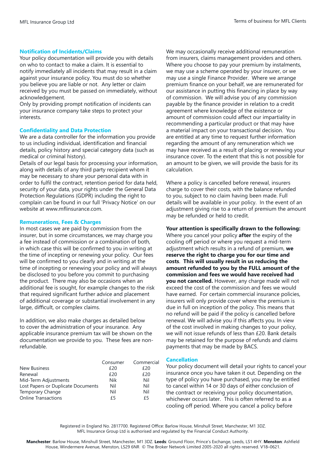### **Notification of Incidents/Claims**

Your policy documentation will provide you with details on who to contact to make a claim. It is essential to notify immediately all incidents that may result in a claim against your insurance policy. You must do so whether you believe you are liable or not. Any letter or claim received by you must be passed on immediately, without acknowledgement.

Only by providing prompt notification of incidents can your insurance company take steps to protect your interests.

#### **Confidentiality and Data Protection**

We are a data controller for the information you provide to us including individual, identification and financial details, policy history and special category data (such as medical or criminal history).

Details of our legal basis for processing your information, along with details of any third party recipient whom it may be necessary to share your personal data with in order to fulfil the contract, retention period for data held, security of your data, your rights under the General Data Protection Regulations (GDPR) including the right to complain can be found in our full 'Privacy Notice' on our website at www.mflinsurance.com.

### **Remunerations, Fees & Charges**

In most cases we are paid by commission from the insurer, but in some circumstances, we may charge you a fee instead of commission or a combination of both, in which case this will be confirmed to you in writing at the time of incepting or renewing your policy. Our fees will be confirmed to you clearly and in writing at the time of incepting or renewing your policy and will always be disclosed to you before you commit to purchasing the product. There may also be occasions when an additional fee is sought, for example changes to the risk that required significant further advice and placement of additional coverage or substantial involvement in any large, difficult, or complex claims.

In addition, we also make charges as detailed below to cover the administration of your insurance. Any applicable insurance premium tax will be shown on the documentation we provide to you. These fees are nonrefundable.

|                                    | Consumer | Commercial |
|------------------------------------|----------|------------|
| New Business                       | £20      | £20        |
| Renewal                            | f20      | £20        |
| Mid-Term Adjustments               | Nik      | Nil        |
| Lost Papers or Duplicate Documents | Nil      | Nil        |
| Temporary Change                   | Nil      | Nil        |
| <b>Online Transactions</b>         | £5       | f5         |

We may occasionally receive additional remuneration from insurers, claims management providers and others. Where you choose to pay your premium by instalments, we may use a scheme operated by your insurer, or we may use a single Finance Provider. Where we arrange premium finance on your behalf, we are remunerated for our assistance in putting this financing in place by way of commission. We will advise you of any commission payable by the finance provider in relation to a credit agreement where knowledge of the existence or amount of commission could affect our impartiality in recommending a particular product or that may have a material impact on your transactional decision. You are entitled at any time to request further information regarding the amount of any remuneration which we may have received as a result of placing or renewing your insurance cover. To the extent that this is not possible for an amount to be given, we will provide the basis for its calculation.

Where a policy is cancelled before renewal, insurers charge to cover their costs, with the balance refunded to you, subject to no claim having been made. Full details will be available in your policy. In the event of an adjustment giving rise to a return of premium the amount may be refunded or held to credit.

# **Your attention is specifically drawn to the following:**

Where you cancel your policy **after** the expiry of the cooling off period or where you request a mid-term adjustment which results in a refund of premium, **we reserve the right to charge you for our time and costs**. **This will usually result in us reducing the amount refunded to you by the FULL amount of the commission and fees we would have received had you not cancelled.** However, any charge made will not exceed the cost of the commission and fees we would have earned. For certain commercial insurance policies, insurers will only provide cover where the premium is due in full on inception of the policy. This means that no refund will be paid if the policy is cancelled before renewal. We will advise you if this affects you. In view of the cost involved in making changes to your policy, we will not issue refunds of less than £20. Bank details may be retained for the purpose of refunds and claims payments that may be made by BACS.

#### **Cancellation**

Your policy document will detail your rights to cancel your insurance once you have taken it out. Depending on the type of policy you have purchased, you may be entitled to cancel within 14 or 30 days of either conclusion of the contract or receiving your policy documentation, whichever occurs later. This is often referred to as a cooling off period. Where you cancel a policy before

Registered in England No. 2817700. Registered Office: Barlow House, Minshull Street, Manchester, M1 3DZ. MFL Insurance Group Ltd is authorised and regulated by the Financial Conduct Authority.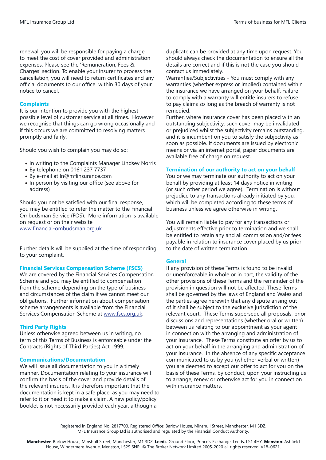renewal, you will be responsible for paying a charge to meet the cost of cover provided and administration expenses. Please see the 'Remuneration, Fees & Charges' section. To enable your insurer to process the cancellation, you will need to return certificates and any official documents to our office within 30 days of your notice to cancel.

### **Complaints**

It is our intention to provide you with the highest possible level of customer service at all times. However we recognise that things can go wrong occasionally and if this occurs we are committed to resolving matters promptly and fairly.

Should you wish to complain you may do so:

- In writing to the Complaints Manager Lindsey Norris
- By telephone on 0161 237 7737
- By e-mail at ln@mflinsurance.com
- In person by visiting our office (see above for address)

Should you not be satisfied with our final response, you may be entitled to refer the matter to the Financial Ombudsman Service (FOS). More information is available on request or on their website www.financial-ombudsman.org.uk

Further details will be supplied at the time of responding to your complaint.

#### **Financial Services Compensation Scheme (FSCS)**

We are covered by the Financial Services Compensation Scheme and you may be entitled to compensation from the scheme depending on the type of business and circumstances of the claim if we cannot meet our obligations. Further information about compensation scheme arrangements is available from the Financial Services Compensation Scheme at www.fscs.org.uk.

#### **Third Party Rights**

Unless otherwise agreed between us in writing, no term of this Terms of Business is enforceable under the Contracts (Rights of Third Parties) Act 1999.

#### **Communications/Documentation**

We will issue all documentation to you in a timely manner. Documentation relating to your insurance will confirm the basis of the cover and provide details of the relevant insurers. It is therefore important that the documentation is kept in a safe place, as you may need to refer to it or need it to make a claim. A new policy/policy booklet is not necessarily provided each year, although a

duplicate can be provided at any time upon request. You should always check the documentation to ensure all the details are correct and if this is not the case you should contact us immediately.

Warranties/Subjectivities - You must comply with any warranties (whether express or implied) contained within the insurance we have arranged on your behalf. Failure to comply with a warranty will entitle insurers to refuse to pay claims so long as the breach of warranty is not remedied.

Further, where insurance cover has been placed with an outstanding subjectivity, such cover may be invalidated or prejudiced whilst the subjectivity remains outstanding, and it is incumbent on you to satisfy the subjectivity as soon as possible. If documents are issued by electronic means or via an internet portal, paper documents are available free of charge on request.

#### **Termination of our authority to act on your behalf**

You or we may terminate our authority to act on your behalf by providing at least 14 days notice in writing (or such other period we agree). Termination is without prejudice to any transactions already initiated by you, which will be completed according to these terms of business unless we agree otherwise in writing.

You will remain liable to pay for any transactions or adjustments effective prior to termination and we shall be entitled to retain any and all commission and/or fees payable in relation to insurance cover placed by us prior to the date of written termination.

#### **General**

If any provision of these Terms is found to be invalid or unenforceable in whole or in part, the validity of the other provisions of these Terms and the remainder of the provision in question will not be affected. These Terms shall be governed by the laws of England and Wales and the parties agree herewith that any dispute arising out of it shall be subject to the exclusive jurisdiction of the relevant court. These Terms supersede all proposals, prior discussions and representations (whether oral or written) between us relating to our appointment as your agent in connection with the arranging and administration of your insurance. These Terms constitute an offer by us to act on your behalf in the arranging and administration of your insurance. In the absence of any specific acceptance communicated to us by you (whether verbal or written) you are deemed to accept our offer to act for you on the basis of these Terms, by conduct, upon your instructing us to arrange, renew or otherwise act for you in connection with insurance matters.

Registered in England No. 2817700. Registered Office: Barlow House, Minshull Street, Manchester, M1 3DZ. MFL Insurance Group Ltd is authorised and regulated by the Financial Conduct Authority.